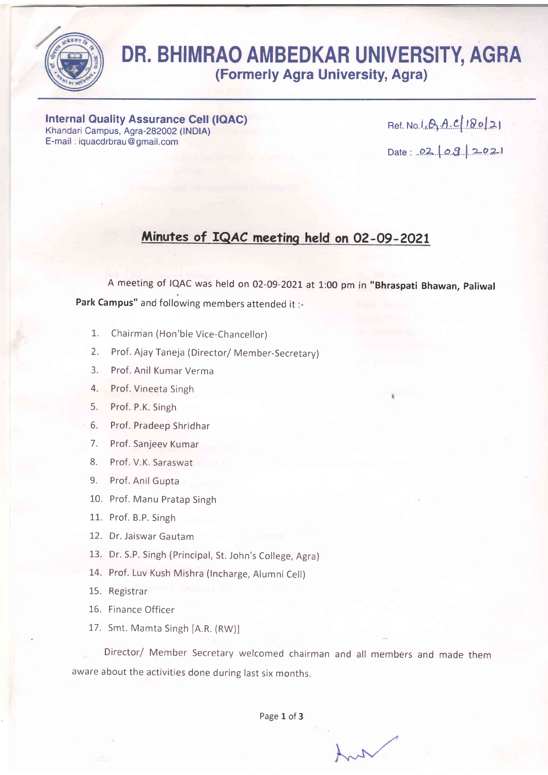

## DR. BHIMRAO AMBEDKAR UNIVERSITY, AGRA (Formerly Agra University, Agra)

Internal Quality Assurance Cell (IOAC) Khandari Campus, Agra-282002 (lNDIA) E-mail . iquacdrbrau@gmail.com

Ref. No. I.*.D..A..C* | 10.0 | 2 | Date : 02 09 2021

## Minutes of fQAC meeting held on 02-09-2021

A meeting of IQAC was held on 02-09-2021 at 1:00 pm in "Bhraspati Bhawan, paliwal Park Campus" and following members attended it :-

- 1. Chairman (Hon'ble Vice-Chancellor)
- 2. Prof. Ajay Taneja (Director/ Member-Secretary)
- 3. Prof. Anil Kumar Verma
- 4. Prof. Vineeta Singh
- 5. Prof. P.K. Singh
- 6. Prof. Pradeep Shridhar
- 7. Prof. Sanjeev Kumar
- 8. Prof. V.K. Saraswat
- 9. Prof. Anil Gupta
- 10. Prof. Manu Pratap Singh
- 11. Prof. B.P. Singh
- 12. Dr. Jaiswar Gautam
- 13. Dr. S.P. Singh (Principal, St. John's College, Agra)
- 14, Prof. Luv Kush Mishra (lncharge, Alumni Cell)
- 15. Registrar
- 16. Finance Officer
- 17. Smt. Mamta Singh [A.R. (RW)]

Director/ Member secretary welcomed chairman and all members and made them aware about the activities done during last six months,

Page 1 of 3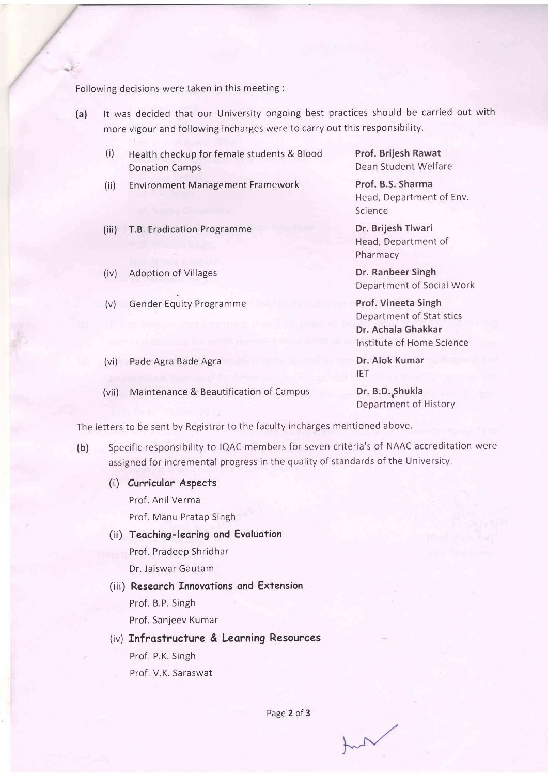Following decisions were taken in this meeting :-

- (a) lt was decided that our University ongoing best practices should be carried out with more vigour and following incharges were to carry out this responsibility.
	- (i) Health checkup for female students & Blood Donation Camps
	- (ii) Environment Management Framework
	- (iii) T.B. Eradication Programme
	- (iv) Adoption of Villages
	- (v) Gender Equity Programme
	- (vi) Pade Agra Bade Agra
	- (vii) Maintenance & Beautification of Campus

Prof. Brijesh Rawat Dean Student Welfare

Prof. B.S. Sharma Head, Department of Env. Science

Dr. Brijesh Tiwari Head, Department of Pharmacy

Dr. Ranbeer Singh Department of Social Work

Prof. Vineeta Singh Department of Statistics Dr. Achala Ghakkar lnstitute of Home Science

Dr. Alok Kumar IET

Dr. B.D. Shukla Department of History

The letters to be sent by Registrar to the faculty incharges mentioned above.

- (b) Specific responsibility to IQAC members for seven criteria's of NAAC accreditation were assigned for incremental progress in the quality of standards of the University.
	- (i) Cumiculor Aspects

Prof. Anil Verma

Prof. Manu Pratap Singh

- (ii) Teoching- leoring ond Evoluotion Prof, Pradeep Shridhar Dr. Jaiswar Gautam
- (iii) Reseorch Innovotions ond Extension Prof. B.P. Singh Prof. Sanjeev Kumar
- (iv) Infrostructure & Leorning Resources Prof. P,K. Singh Prof. V.K. Saraswat

Page 2 of 3